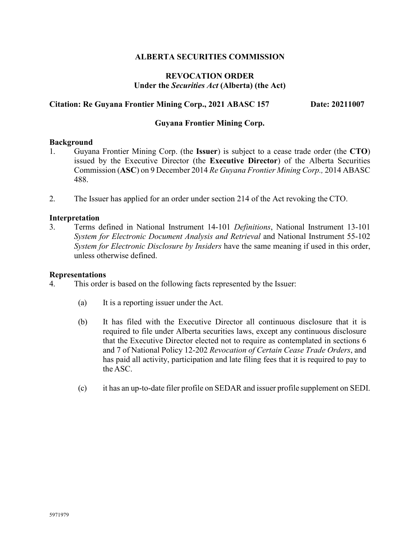# **ALBERTA SECURITIES COMMISSION**

# **REVOCATION ORDER Under the** *Securities Act* **(Alberta) (the Act)**

# **Citation: Re Guyana Frontier Mining Corp., 2021 ABASC 157 Date: 20211007**

### **Guyana Frontier Mining Corp.**

### **Background**

- 1. Guyana Frontier Mining Corp. (the **Issuer**) is subject to a cease trade order (the **CTO**) issued by the Executive Director (the **Executive Director**) of the Alberta Securities Commission (**ASC**) on 9 December 2014 *Re Guyana Frontier Mining Corp.,* 2014 ABASC 488.
- 2. The Issuer has applied for an order under section 214 of the Act revoking the CTO.

### **Interpretation**

3. Terms defined in National Instrument 14-101 *Definitions*, National Instrument 13-101 *System for Electronic Document Analysis and Retrieval* and National Instrument 55-102 *System for Electronic Disclosure by Insiders* have the same meaning if used in this order, unless otherwise defined.

#### **Representations**

4. This order is based on the following facts represented by the Issuer:

- (a) It is a reporting issuer under the Act.
- (b) It has filed with the Executive Director all continuous disclosure that it is required to file under Alberta securities laws, except any continuous disclosure that the Executive Director elected not to require as contemplated in sections 6 and 7 of National Policy 12-202 *Revocation of Certain Cease Trade Orders*, and has paid all activity, participation and late filing fees that it is required to pay to the ASC.
- (c) it has an up-to-date filer profile on SEDAR and issuer profile supplement on SEDI.